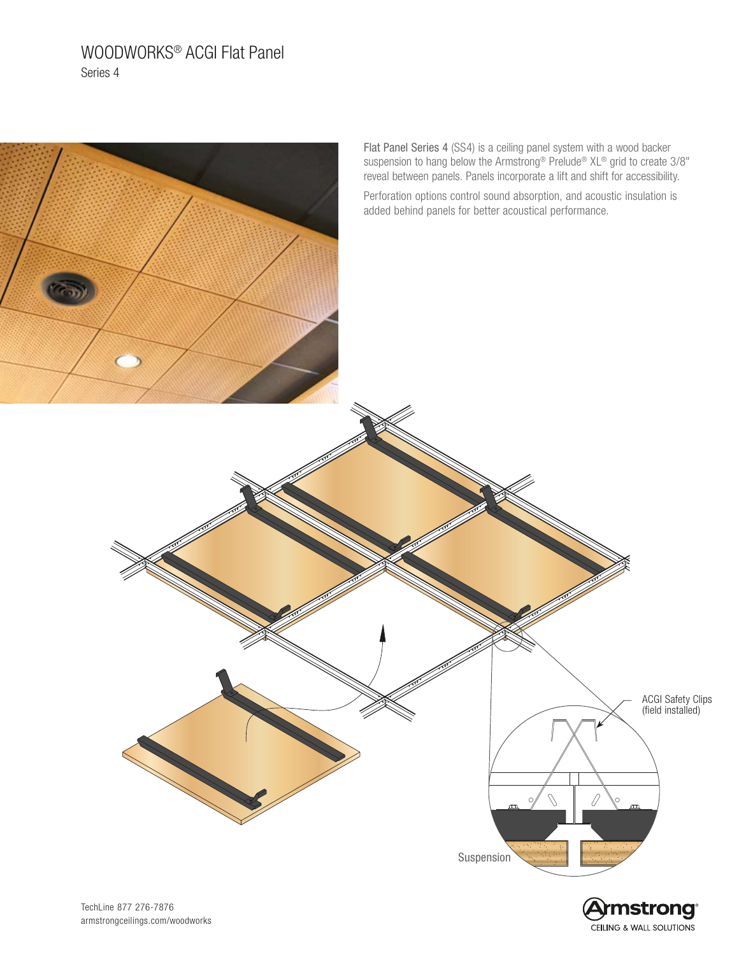# WOODWORKS® ACGI Flat Panel Series 4



CEILING & WALL SOLUTIONS